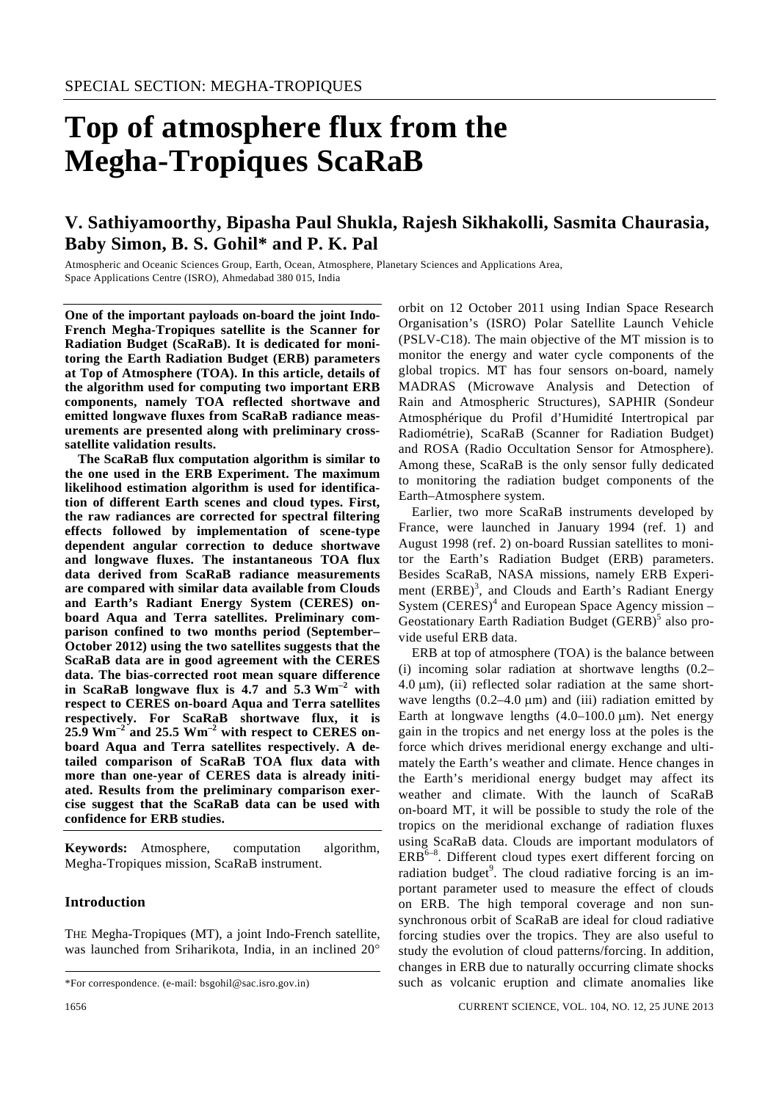# **Top of atmosphere flux from the Megha-Tropiques ScaRaB**

# **V. Sathiyamoorthy, Bipasha Paul Shukla, Rajesh Sikhakolli, Sasmita Chaurasia, Baby Simon, B. S. Gohil\* and P. K. Pal**

Atmospheric and Oceanic Sciences Group, Earth, Ocean, Atmosphere, Planetary Sciences and Applications Area, Space Applications Centre (ISRO), Ahmedabad 380 015, India

**One of the important payloads on-board the joint Indo-French Megha-Tropiques satellite is the Scanner for Radiation Budget (ScaRaB). It is dedicated for monitoring the Earth Radiation Budget (ERB) parameters at Top of Atmosphere (TOA). In this article, details of the algorithm used for computing two important ERB components, namely TOA reflected shortwave and emitted longwave fluxes from ScaRaB radiance measurements are presented along with preliminary crosssatellite validation results.** 

 **The ScaRaB flux computation algorithm is similar to the one used in the ERB Experiment. The maximum likelihood estimation algorithm is used for identification of different Earth scenes and cloud types. First, the raw radiances are corrected for spectral filtering effects followed by implementation of scene-type dependent angular correction to deduce shortwave and longwave fluxes. The instantaneous TOA flux data derived from ScaRaB radiance measurements are compared with similar data available from Clouds and Earth's Radiant Energy System (CERES) onboard Aqua and Terra satellites. Preliminary comparison confined to two months period (September– October 2012) using the two satellites suggests that the ScaRaB data are in good agreement with the CERES data. The bias-corrected root mean square difference in ScaRaB longwave flux is 4.7 and 5.3 Wm–2 with respect to CERES on-board Aqua and Terra satellites respectively. For ScaRaB shortwave flux, it is 25.9 Wm–2 and 25.5 Wm–2 with respect to CERES onboard Aqua and Terra satellites respectively. A detailed comparison of ScaRaB TOA flux data with more than one-year of CERES data is already initiated. Results from the preliminary comparison exercise suggest that the ScaRaB data can be used with confidence for ERB studies.** 

**Keywords:** Atmosphere, computation algorithm, Megha-Tropiques mission, ScaRaB instrument.

# **Introduction**

THE Megha-Tropiques (MT), a joint Indo-French satellite, was launched from Sriharikota, India, in an inclined 20° orbit on 12 October 2011 using Indian Space Research Organisation's (ISRO) Polar Satellite Launch Vehicle (PSLV-C18). The main objective of the MT mission is to monitor the energy and water cycle components of the global tropics. MT has four sensors on-board, namely MADRAS (Microwave Analysis and Detection of Rain and Atmospheric Structures), SAPHIR (Sondeur Atmosphérique du Profil d'Humidité Intertropical par Radiométrie), ScaRaB (Scanner for Radiation Budget) and ROSA (Radio Occultation Sensor for Atmosphere). Among these, ScaRaB is the only sensor fully dedicated to monitoring the radiation budget components of the Earth–Atmosphere system.

 Earlier, two more ScaRaB instruments developed by France, were launched in January 1994 (ref. 1) and August 1998 (ref. 2) on-board Russian satellites to monitor the Earth's Radiation Budget (ERB) parameters. Besides ScaRaB, NASA missions, namely ERB Experiment (ERBE)<sup>3</sup>, and Clouds and Earth's Radiant Energy System  $(CERES)^4$  and European Space Agency mission – Geostationary Earth Radiation Budget (GERB)<sup>5</sup> also provide useful ERB data.

 ERB at top of atmosphere (TOA) is the balance between (i) incoming solar radiation at shortwave lengths (0.2– 4.0 μm), (ii) reflected solar radiation at the same shortwave lengths  $(0.2-4.0 \,\text{\mu m})$  and (iii) radiation emitted by Earth at longwave lengths  $(4.0-100.0 \,\mu m)$ . Net energy gain in the tropics and net energy loss at the poles is the force which drives meridional energy exchange and ultimately the Earth's weather and climate. Hence changes in the Earth's meridional energy budget may affect its weather and climate. With the launch of ScaRaB on-board MT, it will be possible to study the role of the tropics on the meridional exchange of radiation fluxes using ScaRaB data. Clouds are important modulators of  $ERB<sup>6-8</sup>$ . Different cloud types exert different forcing on radiation budget<sup>9</sup>. The cloud radiative forcing is an important parameter used to measure the effect of clouds on ERB. The high temporal coverage and non sunsynchronous orbit of ScaRaB are ideal for cloud radiative forcing studies over the tropics. They are also useful to study the evolution of cloud patterns/forcing. In addition, changes in ERB due to naturally occurring climate shocks such as volcanic eruption and climate anomalies like

<sup>\*</sup>For correspondence. (e-mail: bsgohil@sac.isro.gov.in)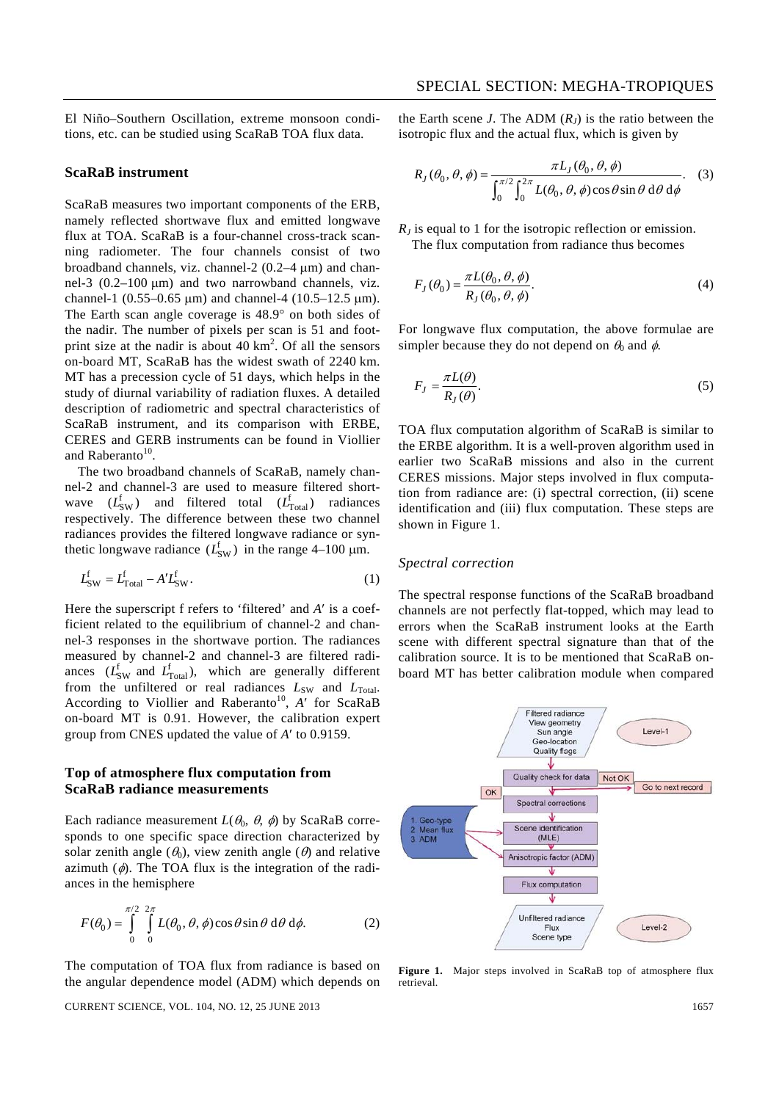El Niño–Southern Oscillation, extreme monsoon conditions, etc. can be studied using ScaRaB TOA flux data.

#### **ScaRaB instrument**

ScaRaB measures two important components of the ERB, namely reflected shortwave flux and emitted longwave flux at TOA. ScaRaB is a four-channel cross-track scanning radiometer. The four channels consist of two broadband channels, viz. channel-2 (0.2–4 μm) and channel-3 (0.2–100 μm) and two narrowband channels, viz. channel-1 (0.55–0.65 μm) and channel-4 (10.5–12.5 μm). The Earth scan angle coverage is 48.9° on both sides of the nadir. The number of pixels per scan is 51 and footprint size at the nadir is about  $40 \text{ km}^2$ . Of all the sensors on-board MT, ScaRaB has the widest swath of 2240 km. MT has a precession cycle of 51 days, which helps in the study of diurnal variability of radiation fluxes. A detailed description of radiometric and spectral characteristics of ScaRaB instrument, and its comparison with ERBE, CERES and GERB instruments can be found in Viollier and Raberanto<sup>10</sup>.

 The two broadband channels of ScaRaB, namely channel-2 and channel-3 are used to measure filtered shortwave  $(L_{SW}^f)$  and filtered total  $(L_{Total}^f)$  radiances respectively. The difference between these two channel radiances provides the filtered longwave radiance or synthetic longwave radiance  $(L_{SW}^f)$  in the range 4–100  $\mu$ m.

$$
L_{\text{SW}}^{\text{f}} = L_{\text{Total}}^{\text{f}} - A'L_{\text{SW}}^{\text{f}}.
$$
 (1)

Here the superscript f refers to 'filtered' and *A*′ is a coefficient related to the equilibrium of channel-2 and channel-3 responses in the shortwave portion. The radiances measured by channel-2 and channel-3 are filtered radiances  $(L_{SW}^f$  and  $L_{Total}^f$ ), which are generally different from the unfiltered or real radiances  $L_{SW}$  and  $L_{Total}$ . According to Viollier and Raberanto<sup>10</sup>, A' for ScaRaB on-board MT is 0.91. However, the calibration expert group from CNES updated the value of *A*′ to 0.9159.

#### **Top of atmosphere flux computation from ScaRaB radiance measurements**

Each radiance measurement  $L(\theta_0, \theta, \phi)$  by ScaRaB corresponds to one specific space direction characterized by solar zenith angle  $(\theta_0)$ , view zenith angle  $(\theta)$  and relative azimuth  $(\phi)$ . The TOA flux is the integration of the radiances in the hemisphere

$$
F(\theta_0) = \int_{0}^{\pi/2} \int_{0}^{2\pi} L(\theta_0, \theta, \phi) \cos \theta \sin \theta \, d\theta \, d\phi.
$$
 (2)

The computation of TOA flux from radiance is based on the angular dependence model (ADM) which depends on the Earth scene *J*. The ADM  $(R<sub>I</sub>)$  is the ratio between the isotropic flux and the actual flux, which is given by

$$
R_J(\theta_0, \theta, \phi) = \frac{\pi L_J(\theta_0, \theta, \phi)}{\int_0^{\pi/2} \int_0^{2\pi} L(\theta_0, \theta, \phi) \cos \theta \sin \theta \, d\theta \, d\phi}.
$$
 (3)

*R<sub>J</sub>* is equal to 1 for the isotropic reflection or emission. The flux computation from radiance thus becomes

$$
F_J(\theta_0) = \frac{\pi L(\theta_0, \theta, \phi)}{R_J(\theta_0, \theta, \phi)}.
$$
\n(4)

For longwave flux computation, the above formulae are simpler because they do not depend on  $\theta_0$  and  $\phi$ .

$$
F_J = \frac{\pi L(\theta)}{R_J(\theta)}.\tag{5}
$$

TOA flux computation algorithm of ScaRaB is similar to the ERBE algorithm. It is a well-proven algorithm used in earlier two ScaRaB missions and also in the current CERES missions. Major steps involved in flux computation from radiance are: (i) spectral correction, (ii) scene identification and (iii) flux computation. These steps are shown in Figure 1.

#### *Spectral correction*

The spectral response functions of the ScaRaB broadband channels are not perfectly flat-topped, which may lead to errors when the ScaRaB instrument looks at the Earth scene with different spectral signature than that of the calibration source. It is to be mentioned that ScaRaB onboard MT has better calibration module when compared



**Figure 1.** Major steps involved in ScaRaB top of atmosphere flux retrieval.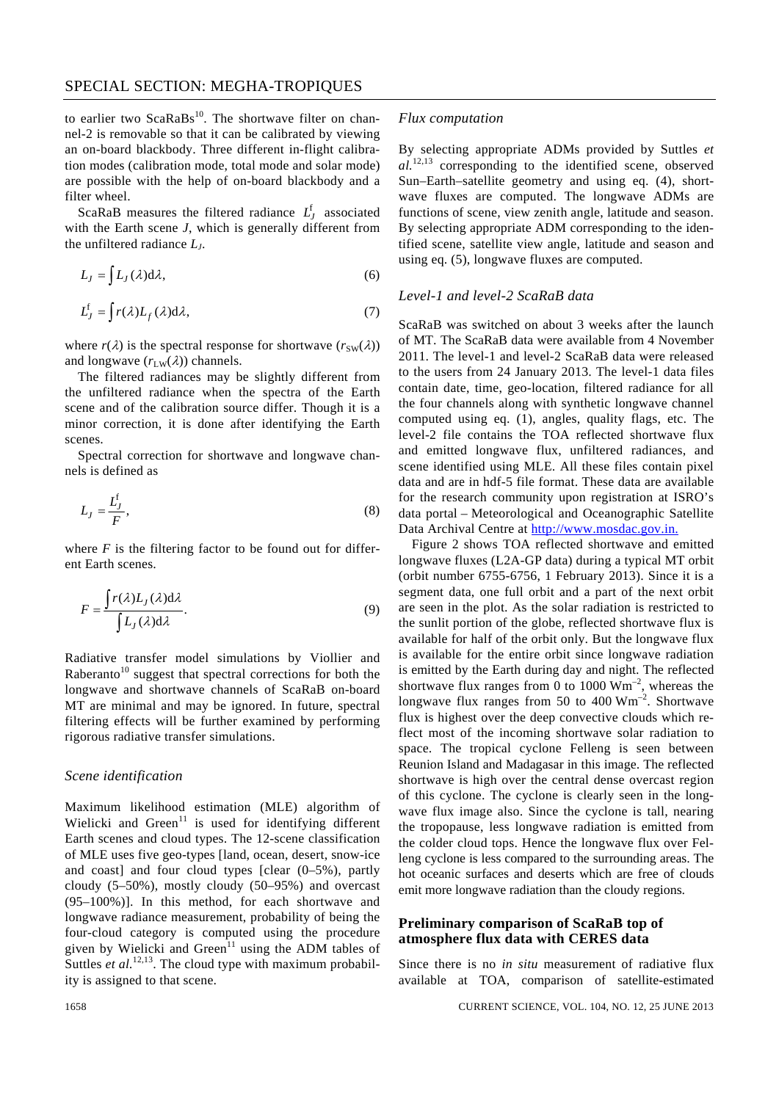to earlier two ScaRaBs<sup>10</sup>. The shortwave filter on channel-2 is removable so that it can be calibrated by viewing an on-board blackbody. Three different in-flight calibration modes (calibration mode, total mode and solar mode) are possible with the help of on-board blackbody and a filter wheel.

ScaRaB measures the filtered radiance  $L_I^f$  associated with the Earth scene *J*, which is generally different from the unfiltered radiance *LJ*.

$$
L_J = \int L_J(\lambda) d\lambda,\tag{6}
$$

$$
L_J^f = \int r(\lambda)L_f(\lambda)d\lambda, \tag{7}
$$

where  $r(\lambda)$  is the spectral response for shortwave  $(r_{SW}(\lambda))$ and longwave  $(r_{LW}(\lambda))$  channels.

 The filtered radiances may be slightly different from the unfiltered radiance when the spectra of the Earth scene and of the calibration source differ. Though it is a minor correction, it is done after identifying the Earth scenes.

 Spectral correction for shortwave and longwave channels is defined as

$$
L_J = \frac{L_J^f}{F},\tag{8}
$$

where  $F$  is the filtering factor to be found out for different Earth scenes.

$$
F = \frac{\int r(\lambda)L_J(\lambda)d\lambda}{\int L_J(\lambda)d\lambda}.
$$
\n(9)

Radiative transfer model simulations by Viollier and Raberanto<sup>10</sup> suggest that spectral corrections for both the longwave and shortwave channels of ScaRaB on-board MT are minimal and may be ignored. In future, spectral filtering effects will be further examined by performing rigorous radiative transfer simulations.

#### *Scene identification*

Maximum likelihood estimation (MLE) algorithm of Wielicki and Green<sup>11</sup> is used for identifying different Earth scenes and cloud types. The 12-scene classification of MLE uses five geo-types [land, ocean, desert, snow-ice and coast] and four cloud types [clear (0–5%), partly cloudy (5–50%), mostly cloudy (50–95%) and overcast (95–100%)]. In this method, for each shortwave and longwave radiance measurement, probability of being the four-cloud category is computed using the procedure given by Wielicki and Green<sup>11</sup> using the ADM tables of Suttles *et al.*<sup>12,13</sup>. The cloud type with maximum probability is assigned to that scene.

#### *Flux computation*

By selecting appropriate ADMs provided by Suttles *et al.*12,13 corresponding to the identified scene, observed Sun–Earth–satellite geometry and using eq. (4), shortwave fluxes are computed. The longwave ADMs are functions of scene, view zenith angle, latitude and season. By selecting appropriate ADM corresponding to the identified scene, satellite view angle, latitude and season and using eq. (5), longwave fluxes are computed.

#### *Level-1 and level-2 ScaRaB data*

ScaRaB was switched on about 3 weeks after the launch of MT. The ScaRaB data were available from 4 November 2011. The level-1 and level-2 ScaRaB data were released to the users from 24 January 2013. The level-1 data files contain date, time, geo-location, filtered radiance for all the four channels along with synthetic longwave channel computed using eq. (1), angles, quality flags, etc. The level-2 file contains the TOA reflected shortwave flux and emitted longwave flux, unfiltered radiances, and scene identified using MLE. All these files contain pixel data and are in hdf-5 file format. These data are available for the research community upon registration at ISRO's data portal – Meteorological and Oceanographic Satellite Data Archival Centre at http://www.mosdac.gov.in.

 Figure 2 shows TOA reflected shortwave and emitted longwave fluxes (L2A-GP data) during a typical MT orbit (orbit number 6755-6756, 1 February 2013). Since it is a segment data, one full orbit and a part of the next orbit are seen in the plot. As the solar radiation is restricted to the sunlit portion of the globe, reflected shortwave flux is available for half of the orbit only. But the longwave flux is available for the entire orbit since longwave radiation is emitted by the Earth during day and night. The reflected shortwave flux ranges from 0 to 1000  $\text{Wm}^{-2}$ , whereas the longwave flux ranges from 50 to 400 Wm–2. Shortwave flux is highest over the deep convective clouds which reflect most of the incoming shortwave solar radiation to space. The tropical cyclone Felleng is seen between Reunion Island and Madagasar in this image. The reflected shortwave is high over the central dense overcast region of this cyclone. The cyclone is clearly seen in the longwave flux image also. Since the cyclone is tall, nearing the tropopause, less longwave radiation is emitted from the colder cloud tops. Hence the longwave flux over Felleng cyclone is less compared to the surrounding areas. The hot oceanic surfaces and deserts which are free of clouds emit more longwave radiation than the cloudy regions.

# **Preliminary comparison of ScaRaB top of atmosphere flux data with CERES data**

Since there is no *in situ* measurement of radiative flux available at TOA, comparison of satellite-estimated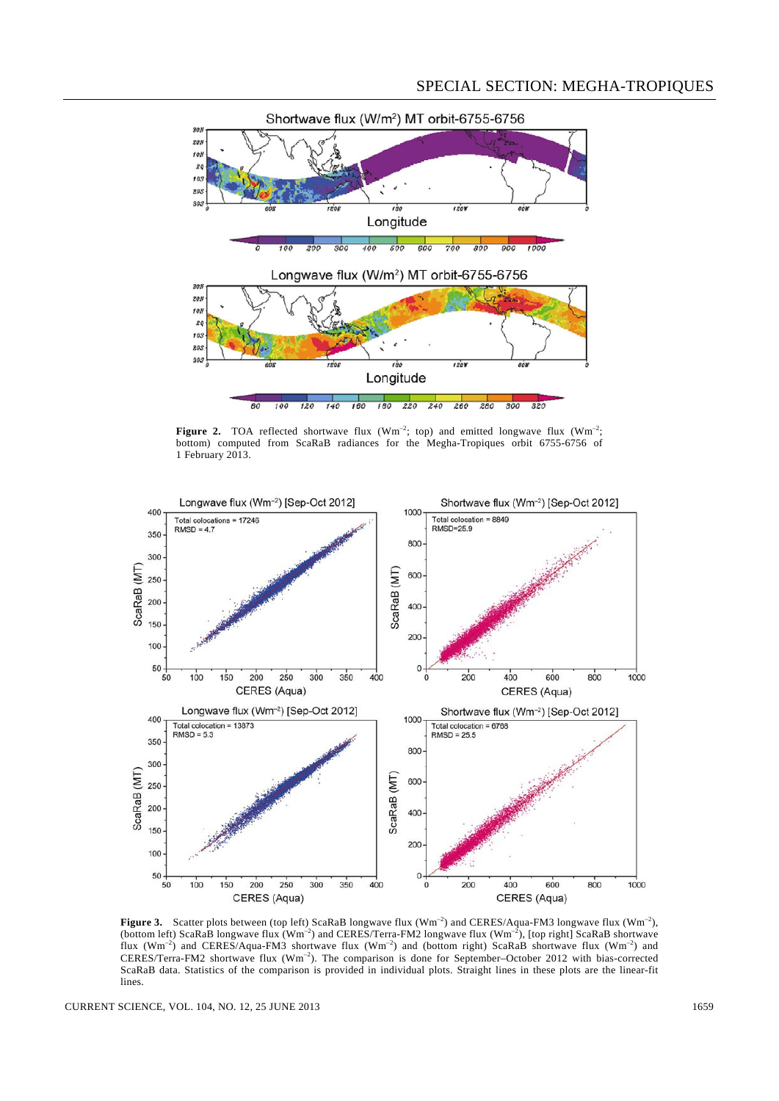

**Figure 2.** TOA reflected shortwave flux  $(Wm^{-2}$ ; top) and emitted longwave flux  $(Wm^{-2})$ ; bottom) computed from ScaRaB radiances for the Megha-Tropiques orbit 6755-6756 of 1 February 2013.



Figure 3. Scatter plots between (top left) ScaRaB longwave flux (Wm<sup>-2</sup>) and CERES/Aqua-FM3 longwave flux (Wm<sup>-2</sup>), (bottom left) ScaRaB longwave flux  $(Wm^{-2})$  and CERES/Terra-FM2 longwave flux  $(Wm^{-2})$ , [top right] ScaRaB shortwave flux (Wm<sup>-2</sup>) and CERES/Aqua-FM3 shortwave flux (Wm<sup>-2</sup>) and (bottom right) ScaRaB shortwave flux (Wm<sup>-2</sup>) and CERES/Terra-FM2 shortwave flux (Wm–2). The comparison is done for September–October 2012 with bias-corrected ScaRaB data. Statistics of the comparison is provided in individual plots. Straight lines in these plots are the linear-fit lines.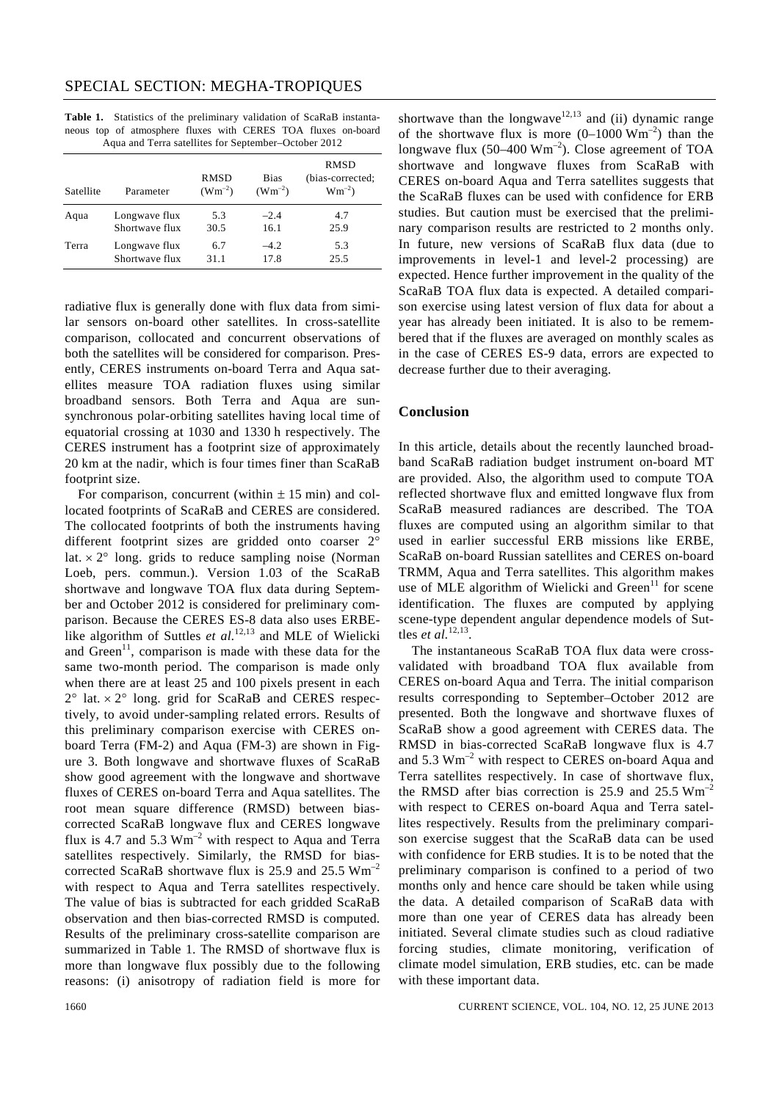|                                                      |  |  | Table 1. Statistics of the preliminary validation of ScaRaB instanta- |  |  |  |  |  |  |
|------------------------------------------------------|--|--|-----------------------------------------------------------------------|--|--|--|--|--|--|
|                                                      |  |  | neous top of atmosphere fluxes with CERES TOA fluxes on-board         |  |  |  |  |  |  |
| Agua and Terra satellites for September–October 2012 |  |  |                                                                       |  |  |  |  |  |  |

| Satellite | Parameter      | RMSD<br>$(Wm^{-2})$ | <b>Bias</b><br>$(Wm^{-2})$ | RMSD<br>(bias-corrected;<br>$Wm^{-2}$ ) |
|-----------|----------------|---------------------|----------------------------|-----------------------------------------|
| Aqua      | Longwave flux  | 5.3                 | $-2.4$                     | 4.7                                     |
|           | Shortwave flux | 30.5                | 16.1                       | 25.9                                    |
| Terra     | Longwave flux  | 6.7                 | $-4.2$                     | 5.3                                     |
|           | Shortwave flux | 31.1                | 17.8                       | 25.5                                    |

radiative flux is generally done with flux data from similar sensors on-board other satellites. In cross-satellite comparison, collocated and concurrent observations of both the satellites will be considered for comparison. Presently, CERES instruments on-board Terra and Aqua satellites measure TOA radiation fluxes using similar broadband sensors. Both Terra and Aqua are sunsynchronous polar-orbiting satellites having local time of equatorial crossing at 1030 and 1330 h respectively. The CERES instrument has a footprint size of approximately 20 km at the nadir, which is four times finer than ScaRaB footprint size.

For comparison, concurrent (within  $\pm$  15 min) and collocated footprints of ScaRaB and CERES are considered. The collocated footprints of both the instruments having different footprint sizes are gridded onto coarser 2° lat.  $\times$  2 $\degree$  long. grids to reduce sampling noise (Norman Loeb, pers. commun.). Version 1.03 of the ScaRaB shortwave and longwave TOA flux data during September and October 2012 is considered for preliminary comparison. Because the CERES ES-8 data also uses ERBElike algorithm of Suttles *et al.*<sup>12,13</sup> and MLE of Wielicki and Green<sup>11</sup>, comparison is made with these data for the same two-month period. The comparison is made only when there are at least 25 and 100 pixels present in each  $2^{\circ}$  lat.  $\times$  2° long. grid for ScaRaB and CERES respectively, to avoid under-sampling related errors. Results of this preliminary comparison exercise with CERES onboard Terra (FM-2) and Aqua (FM-3) are shown in Figure 3. Both longwave and shortwave fluxes of ScaRaB show good agreement with the longwave and shortwave fluxes of CERES on-board Terra and Aqua satellites. The root mean square difference (RMSD) between biascorrected ScaRaB longwave flux and CERES longwave flux is 4.7 and 5.3  $Wm^{-2}$  with respect to Aqua and Terra satellites respectively. Similarly, the RMSD for biascorrected ScaRaB shortwave flux is 25.9 and 25.5  $Wm^{-2}$ with respect to Aqua and Terra satellites respectively. The value of bias is subtracted for each gridded ScaRaB observation and then bias-corrected RMSD is computed. Results of the preliminary cross-satellite comparison are summarized in Table 1. The RMSD of shortwave flux is more than longwave flux possibly due to the following reasons: (i) anisotropy of radiation field is more for shortwave than the longwave<sup>12,13</sup> and (ii) dynamic range of the shortwave flux is more  $(0-1000 \text{ Wm}^{-2})$  than the longwave flux  $(50-400 \text{ Wm}^{-2})$ . Close agreement of TOA shortwave and longwave fluxes from ScaRaB with CERES on-board Aqua and Terra satellites suggests that the ScaRaB fluxes can be used with confidence for ERB studies. But caution must be exercised that the preliminary comparison results are restricted to 2 months only. In future, new versions of ScaRaB flux data (due to improvements in level-1 and level-2 processing) are expected. Hence further improvement in the quality of the ScaRaB TOA flux data is expected. A detailed comparison exercise using latest version of flux data for about a year has already been initiated. It is also to be remembered that if the fluxes are averaged on monthly scales as in the case of CERES ES-9 data, errors are expected to decrease further due to their averaging.

## **Conclusion**

In this article, details about the recently launched broadband ScaRaB radiation budget instrument on-board MT are provided. Also, the algorithm used to compute TOA reflected shortwave flux and emitted longwave flux from ScaRaB measured radiances are described. The TOA fluxes are computed using an algorithm similar to that used in earlier successful ERB missions like ERBE, ScaRaB on-board Russian satellites and CERES on-board TRMM, Aqua and Terra satellites. This algorithm makes use of MLE algorithm of Wielicki and Green $11$  for scene identification. The fluxes are computed by applying scene-type dependent angular dependence models of Suttles *et al.*<sup>12,13</sup>

 The instantaneous ScaRaB TOA flux data were crossvalidated with broadband TOA flux available from CERES on-board Aqua and Terra. The initial comparison results corresponding to September–October 2012 are presented. Both the longwave and shortwave fluxes of ScaRaB show a good agreement with CERES data. The RMSD in bias-corrected ScaRaB longwave flux is 4.7 and  $5.3 \text{ Wm}^{-2}$  with respect to CERES on-board Aqua and Terra satellites respectively. In case of shortwave flux, the RMSD after bias correction is 25.9 and 25.5  $Wm^{-2}$ with respect to CERES on-board Aqua and Terra satellites respectively. Results from the preliminary comparison exercise suggest that the ScaRaB data can be used with confidence for ERB studies. It is to be noted that the preliminary comparison is confined to a period of two months only and hence care should be taken while using the data. A detailed comparison of ScaRaB data with more than one year of CERES data has already been initiated. Several climate studies such as cloud radiative forcing studies, climate monitoring, verification of climate model simulation, ERB studies, etc. can be made with these important data.